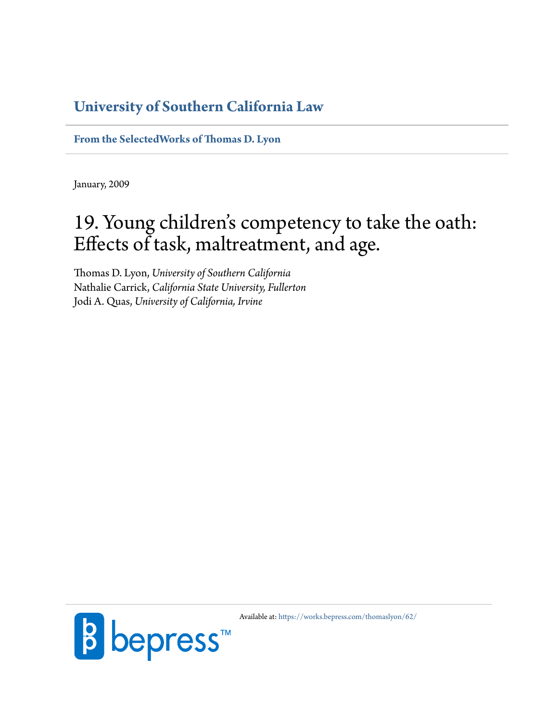## **[University of Southern California Law](http://gould.usc.edu/)**

**[From the SelectedWorks of Thomas D. Lyon](https://works.bepress.com/thomaslyon/)**

January, 2009

# 19. Young children ' s competency to take the oath: Effects of task, maltreatment, and age.

Thomas D. Lyon, *University of Southern California* Nathalie Carrick, *California State University, Fullerton* Jodi A. Quas, *University of California, Irvine*



Available at: <https://works.bepress.com/thomaslyon/62/>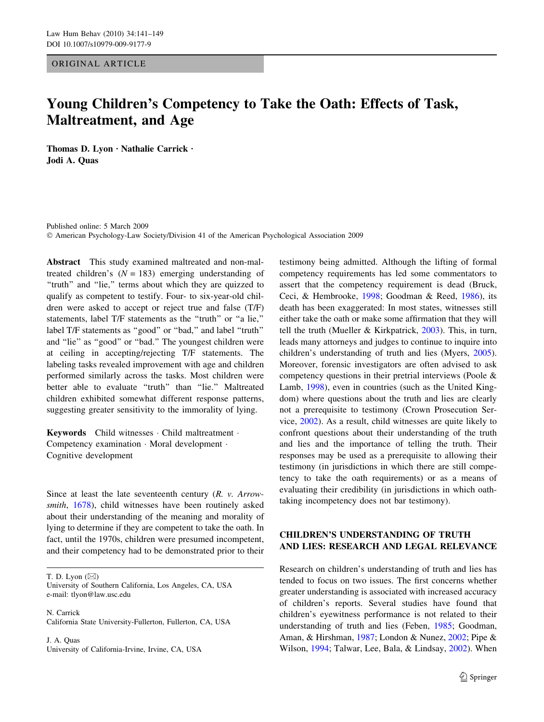#### ORIGINAL ARTICLE

### Young Children's Competency to Take the Oath: Effects of Task, Maltreatment, and Age

Thomas D. Lyon · Nathalie Carrick · Jodi A. Quas

Published online: 5 March 2009 American Psychology-Law Society/Division 41 of the American Psychological Association 2009

Abstract This study examined maltreated and non-maltreated children's  $(N = 183)$  emerging understanding of ''truth'' and ''lie,'' terms about which they are quizzed to qualify as competent to testify. Four- to six-year-old children were asked to accept or reject true and false (T/F) statements, label T/F statements as the ''truth'' or ''a lie,'' label T/F statements as "good" or "bad," and label "truth" and "lie" as "good" or "bad." The youngest children were at ceiling in accepting/rejecting T/F statements. The labeling tasks revealed improvement with age and children performed similarly across the tasks. Most children were better able to evaluate "truth" than "lie." Maltreated children exhibited somewhat different response patterns, suggesting greater sensitivity to the immorality of lying.

Keywords Child witnesses · Child maltreatment · Competency examination  $\cdot$  Moral development  $\cdot$ Cognitive development

Since at least the late seventeenth century  $(R. v. Arrow$ smith, [1678\)](#page-9-0), child witnesses have been routinely asked about their understanding of the meaning and morality of lying to determine if they are competent to take the oath. In fact, until the 1970s, children were presumed incompetent, and their competency had to be demonstrated prior to their

T. D. Lyon  $(\boxtimes)$ 

University of Southern California, Los Angeles, CA, USA e-mail: tlyon@law.usc.edu

N. Carrick California State University-Fullerton, Fullerton, CA, USA

J. A. Quas University of California-Irvine, Irvine, CA, USA testimony being admitted. Although the lifting of formal competency requirements has led some commentators to assert that the competency requirement is dead (Bruck, Ceci, & Hembrooke, [1998](#page-8-0); Goodman & Reed, [1986](#page-8-0)), its death has been exaggerated: In most states, witnesses still either take the oath or make some affirmation that they will tell the truth (Mueller & Kirkpatrick, [2003\)](#page-9-0). This, in turn, leads many attorneys and judges to continue to inquire into children's understanding of truth and lies (Myers, [2005](#page-9-0)). Moreover, forensic investigators are often advised to ask competency questions in their pretrial interviews (Poole & Lamb, [1998](#page-9-0)), even in countries (such as the United Kingdom) where questions about the truth and lies are clearly not a prerequisite to testimony (Crown Prosecution Service, [2002](#page-8-0)). As a result, child witnesses are quite likely to confront questions about their understanding of the truth and lies and the importance of telling the truth. Their responses may be used as a prerequisite to allowing their testimony (in jurisdictions in which there are still competency to take the oath requirements) or as a means of evaluating their credibility (in jurisdictions in which oathtaking incompetency does not bar testimony).

#### CHILDREN'S UNDERSTANDING OF TRUTH AND LIES: RESEARCH AND LEGAL RELEVANCE

Research on children's understanding of truth and lies has tended to focus on two issues. The first concerns whether greater understanding is associated with increased accuracy of children's reports. Several studies have found that children's eyewitness performance is not related to their understanding of truth and lies (Feben, [1985](#page-8-0); Goodman, Aman, & Hirshman, [1987](#page-8-0); London & Nunez, [2002;](#page-9-0) Pipe & Wilson, [1994](#page-9-0); Talwar, Lee, Bala, & Lindsay, [2002\)](#page-9-0). When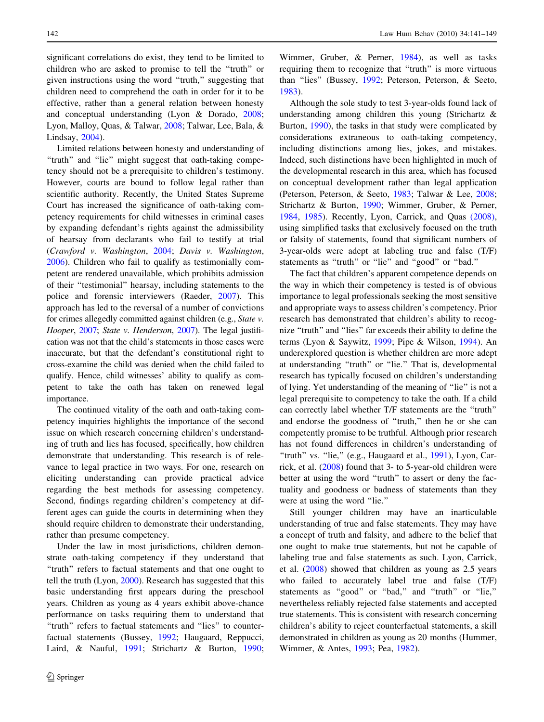significant correlations do exist, they tend to be limited to children who are asked to promise to tell the ''truth'' or given instructions using the word ''truth,'' suggesting that children need to comprehend the oath in order for it to be effective, rather than a general relation between honesty and conceptual understanding (Lyon & Dorado, [2008](#page-9-0); Lyon, Malloy, Quas, & Talwar, [2008;](#page-9-0) Talwar, Lee, Bala, & Lindsay, [2004](#page-9-0)).

Limited relations between honesty and understanding of "truth" and "lie" might suggest that oath-taking competency should not be a prerequisite to children's testimony. However, courts are bound to follow legal rather than scientific authority. Recently, the United States Supreme Court has increased the significance of oath-taking competency requirements for child witnesses in criminal cases by expanding defendant's rights against the admissibility of hearsay from declarants who fail to testify at trial (Crawford v. Washington, [2004](#page-8-0); Davis v. Washington, [2006\)](#page-8-0). Children who fail to qualify as testimonially competent are rendered unavailable, which prohibits admission of their ''testimonial'' hearsay, including statements to the police and forensic interviewers (Raeder, [2007\)](#page-9-0). This approach has led to the reversal of a number of convictions for crimes allegedly committed against children (e.g., State v. Hooper, [2007;](#page-9-0) State v. Henderson, [2007](#page-9-0)). The legal justification was not that the child's statements in those cases were inaccurate, but that the defendant's constitutional right to cross-examine the child was denied when the child failed to qualify. Hence, child witnesses' ability to qualify as competent to take the oath has taken on renewed legal importance.

The continued vitality of the oath and oath-taking competency inquiries highlights the importance of the second issue on which research concerning children's understanding of truth and lies has focused, specifically, how children demonstrate that understanding. This research is of relevance to legal practice in two ways. For one, research on eliciting understanding can provide practical advice regarding the best methods for assessing competency. Second, findings regarding children's competency at different ages can guide the courts in determining when they should require children to demonstrate their understanding, rather than presume competency.

Under the law in most jurisdictions, children demonstrate oath-taking competency if they understand that ''truth'' refers to factual statements and that one ought to tell the truth (Lyon, [2000\)](#page-9-0). Research has suggested that this basic understanding first appears during the preschool years. Children as young as 4 years exhibit above-chance performance on tasks requiring them to understand that "truth" refers to factual statements and "lies" to counterfactual statements (Bussey, [1992;](#page-8-0) Haugaard, Reppucci, Laird, & Nauful, [1991](#page-8-0); Strichartz & Burton, [1990](#page-9-0);

Wimmer, Gruber, & Perner, [1984](#page-9-0)), as well as tasks requiring them to recognize that "truth" is more virtuous than ''lies'' (Bussey, [1992;](#page-8-0) Peterson, Peterson, & Seeto, [1983](#page-9-0)).

Although the sole study to test 3-year-olds found lack of understanding among children this young (Strichartz & Burton, [1990](#page-9-0)), the tasks in that study were complicated by considerations extraneous to oath-taking competency, including distinctions among lies, jokes, and mistakes. Indeed, such distinctions have been highlighted in much of the developmental research in this area, which has focused on conceptual development rather than legal application (Peterson, Peterson, & Seeto, [1983](#page-9-0); Talwar & Lee, [2008](#page-9-0); Strichartz & Burton, [1990](#page-9-0); Wimmer, Gruber, & Perner, [1984](#page-9-0), [1985](#page-9-0)). Recently, Lyon, Carrick, and Quas [\(2008\),](#page-9-0) using simplified tasks that exclusively focused on the truth or falsity of statements, found that significant numbers of 3-year-olds were adept at labeling true and false (T/F) statements as ''truth'' or ''lie'' and ''good'' or ''bad.''

The fact that children's apparent competence depends on the way in which their competency is tested is of obvious importance to legal professionals seeking the most sensitive and appropriate ways to assess children's competency. Prior research has demonstrated that children's ability to recognize ''truth'' and ''lies'' far exceeds their ability to define the terms (Lyon & Saywitz, [1999](#page-9-0); Pipe & Wilson, [1994\)](#page-9-0). An underexplored question is whether children are more adept at understanding ''truth'' or ''lie.'' That is, developmental research has typically focused on children's understanding of lying. Yet understanding of the meaning of ''lie'' is not a legal prerequisite to competency to take the oath. If a child can correctly label whether T/F statements are the ''truth'' and endorse the goodness of ''truth,'' then he or she can competently promise to be truthful. Although prior research has not found differences in children's understanding of "truth" vs. "lie," (e.g., Haugaard et al., [1991\)](#page-8-0), Lyon, Carrick, et al. ([2008\)](#page-9-0) found that 3- to 5-year-old children were better at using the word "truth" to assert or deny the factuality and goodness or badness of statements than they were at using the word "lie."

Still younger children may have an inarticulable understanding of true and false statements. They may have a concept of truth and falsity, and adhere to the belief that one ought to make true statements, but not be capable of labeling true and false statements as such. Lyon, Carrick, et al. ([2008\)](#page-9-0) showed that children as young as 2.5 years who failed to accurately label true and false (T/F) statements as ''good'' or ''bad,'' and ''truth'' or ''lie,'' nevertheless reliably rejected false statements and accepted true statements. This is consistent with research concerning children's ability to reject counterfactual statements, a skill demonstrated in children as young as 20 months (Hummer, Wimmer, & Antes, [1993;](#page-9-0) Pea, [1982](#page-9-0)).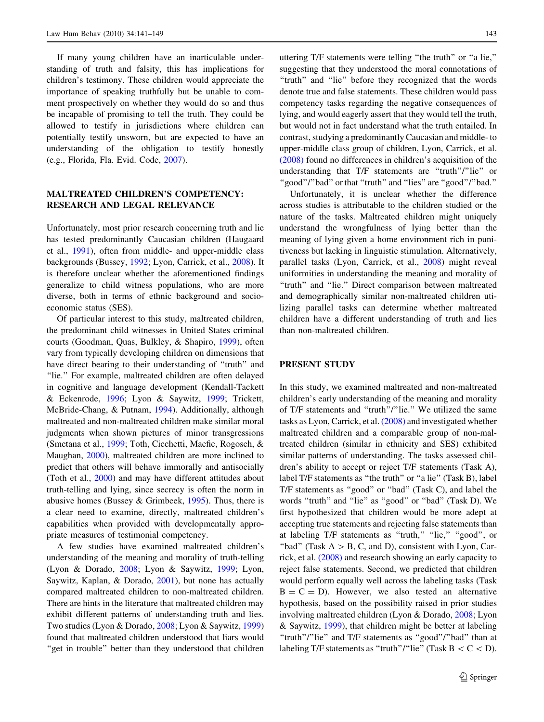If many young children have an inarticulable understanding of truth and falsity, this has implications for children's testimony. These children would appreciate the importance of speaking truthfully but be unable to comment prospectively on whether they would do so and thus be incapable of promising to tell the truth. They could be allowed to testify in jurisdictions where children can potentially testify unsworn, but are expected to have an understanding of the obligation to testify honestly (e.g., Florida, Fla. Evid. Code, [2007\)](#page-8-0).

#### MALTREATED CHILDREN'S COMPETENCY: RESEARCH AND LEGAL RELEVANCE

Unfortunately, most prior research concerning truth and lie has tested predominantly Caucasian children (Haugaard et al., [1991\)](#page-8-0), often from middle- and upper-middle class backgrounds (Bussey, [1992](#page-8-0); Lyon, Carrick, et al., [2008](#page-9-0)). It is therefore unclear whether the aforementioned findings generalize to child witness populations, who are more diverse, both in terms of ethnic background and socioeconomic status (SES).

Of particular interest to this study, maltreated children, the predominant child witnesses in United States criminal courts (Goodman, Quas, Bulkley, & Shapiro, [1999](#page-8-0)), often vary from typically developing children on dimensions that have direct bearing to their understanding of "truth" and "lie." For example, maltreated children are often delayed in cognitive and language development (Kendall-Tackett & Eckenrode, [1996;](#page-9-0) Lyon & Saywitz, [1999](#page-9-0); Trickett, McBride-Chang, & Putnam, [1994\)](#page-9-0). Additionally, although maltreated and non-maltreated children make similar moral judgments when shown pictures of minor transgressions (Smetana et al., [1999;](#page-9-0) Toth, Cicchetti, Macfie, Rogosch, & Maughan, [2000\)](#page-9-0), maltreated children are more inclined to predict that others will behave immorally and antisocially (Toth et al., [2000](#page-9-0)) and may have different attitudes about truth-telling and lying, since secrecy is often the norm in abusive homes (Bussey & Grimbeek, [1995](#page-8-0)). Thus, there is a clear need to examine, directly, maltreated children's capabilities when provided with developmentally appropriate measures of testimonial competency.

A few studies have examined maltreated children's understanding of the meaning and morality of truth-telling (Lyon & Dorado, [2008;](#page-9-0) Lyon & Saywitz, [1999;](#page-9-0) Lyon, Saywitz, Kaplan, & Dorado, [2001\)](#page-9-0), but none has actually compared maltreated children to non-maltreated children. There are hints in the literature that maltreated children may exhibit different patterns of understanding truth and lies. Two studies (Lyon & Dorado, [2008;](#page-9-0) Lyon & Saywitz, [1999\)](#page-9-0) found that maltreated children understood that liars would "get in trouble" better than they understood that children

uttering T/F statements were telling ''the truth'' or ''a lie,'' suggesting that they understood the moral connotations of ''truth'' and ''lie'' before they recognized that the words denote true and false statements. These children would pass competency tasks regarding the negative consequences of lying, and would eagerly assert that they would tell the truth, but would not in fact understand what the truth entailed. In contrast, studying a predominantly Caucasian and middle- to upper-middle class group of children, Lyon, Carrick, et al. [\(2008\)](#page-9-0) found no differences in children's acquisition of the understanding that T/F statements are ''truth''/''lie'' or "good"/"bad" or that "truth" and "lies" are "good"/"bad."

Unfortunately, it is unclear whether the difference across studies is attributable to the children studied or the nature of the tasks. Maltreated children might uniquely understand the wrongfulness of lying better than the meaning of lying given a home environment rich in punitiveness but lacking in linguistic stimulation. Alternatively, parallel tasks (Lyon, Carrick, et al., [2008\)](#page-9-0) might reveal uniformities in understanding the meaning and morality of ''truth'' and ''lie.'' Direct comparison between maltreated and demographically similar non-maltreated children utilizing parallel tasks can determine whether maltreated children have a different understanding of truth and lies than non-maltreated children.

#### PRESENT STUDY

In this study, we examined maltreated and non-maltreated children's early understanding of the meaning and morality of T/F statements and ''truth''/''lie.'' We utilized the same tasks as Lyon, Carrick, et al. [\(2008\)](#page-9-0) and investigated whether maltreated children and a comparable group of non-maltreated children (similar in ethnicity and SES) exhibited similar patterns of understanding. The tasks assessed children's ability to accept or reject T/F statements (Task A), label T/F statements as "the truth" or "a lie" (Task B), label T/F statements as ''good'' or ''bad'' (Task C), and label the words "truth" and "lie" as "good" or "bad" (Task D). We first hypothesized that children would be more adept at accepting true statements and rejecting false statements than at labeling T/F statements as "truth," "lie," "good", or "bad" (Task  $A > B$ , C, and D), consistent with Lyon, Carrick, et al. [\(2008\)](#page-9-0) and research showing an early capacity to reject false statements. Second, we predicted that children would perform equally well across the labeling tasks (Task  $B = C = D$ ). However, we also tested an alternative hypothesis, based on the possibility raised in prior studies involving maltreated children (Lyon & Dorado, [2008](#page-9-0); Lyon & Saywitz, [1999\)](#page-9-0), that children might be better at labeling ''truth''/''lie'' and T/F statements as ''good''/''bad'' than at labeling T/F statements as "truth"/"lie" (Task  $B < C < D$ ).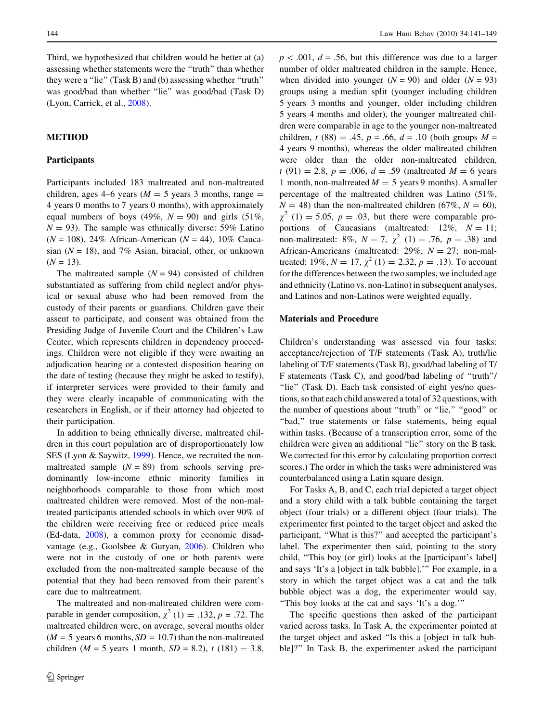Third, we hypothesized that children would be better at (a) assessing whether statements were the ''truth'' than whether they were a ''lie'' (Task B) and (b) assessing whether ''truth'' was good/bad than whether "lie" was good/bad (Task D) (Lyon, Carrick, et al., [2008\)](#page-9-0).

#### METHOD

#### Participants

Participants included 183 maltreated and non-maltreated children, ages 4–6 years ( $M = 5$  years 3 months, range  $=$ 4 years 0 months to 7 years 0 months), with approximately equal numbers of boys (49%,  $N = 90$ ) and girls (51%,  $N = 93$ ). The sample was ethnically diverse: 59% Latino  $(N = 108)$ , 24% African-American  $(N = 44)$ , 10% Caucasian ( $N = 18$ ), and 7% Asian, biracial, other, or unknown  $(N = 13)$ .

The maltreated sample  $(N = 94)$  consisted of children substantiated as suffering from child neglect and/or physical or sexual abuse who had been removed from the custody of their parents or guardians. Children gave their assent to participate, and consent was obtained from the Presiding Judge of Juvenile Court and the Children's Law Center, which represents children in dependency proceedings. Children were not eligible if they were awaiting an adjudication hearing or a contested disposition hearing on the date of testing (because they might be asked to testify), if interpreter services were provided to their family and they were clearly incapable of communicating with the researchers in English, or if their attorney had objected to their participation.

In addition to being ethnically diverse, maltreated children in this court population are of disproportionately low SES (Lyon & Saywitz, [1999\)](#page-9-0). Hence, we recruited the nonmaltreated sample  $(N = 89)$  from schools serving predominantly low-income ethnic minority families in neighborhoods comparable to those from which most maltreated children were removed. Most of the non-maltreated participants attended schools in which over 90% of the children were receiving free or reduced price meals (Ed-data, [2008](#page-8-0)), a common proxy for economic disadvantage (e.g., Goolsbee & Guryan, [2006](#page-8-0)). Children who were not in the custody of one or both parents were excluded from the non-maltreated sample because of the potential that they had been removed from their parent's care due to maltreatment.

The maltreated and non-maltreated children were comparable in gender composition,  $\chi^2$  (1) = .132, p = .72. The maltreated children were, on average, several months older  $(M = 5$  years 6 months,  $SD = 10.7$ ) than the non-maltreated children ( $M = 5$  years 1 month,  $SD = 8.2$ ),  $t(181) = 3.8$ ,  $p\lt 0.001$ ,  $d = 0.56$ , but this difference was due to a larger number of older maltreated children in the sample. Hence, when divided into younger  $(N = 90)$  and older  $(N = 93)$ groups using a median split (younger including children 5 years 3 months and younger, older including children 5 years 4 months and older), the younger maltreated children were comparable in age to the younger non-maltreated children, t (88) = .45,  $p = .66$ ,  $d = .10$  (both groups  $M =$ 4 years 9 months), whereas the older maltreated children were older than the older non-maltreated children,  $t(91) = 2.8, p = .006, d = .59$  (maltreated  $M = 6$  years 1 month, non-maltreated  $M = 5$  years 9 months). A smaller percentage of the maltreated children was Latino (51%,  $N = 48$ ) than the non-maltreated children (67%,  $N = 60$ ),  $\chi^2$  (1) = 5.05, p = .03, but there were comparable proportions of Caucasians (maltreated:  $12\%$ ,  $N = 11$ ; non-maltreated: 8%,  $N = 7$ ,  $\chi^2$  (1) = .76,  $p = .38$ ) and African-Americans (maltreated: 29%,  $N = 27$ ; non-maltreated: 19%,  $N = 17$ ,  $\gamma^2$  (1) = 2.32,  $p = .13$ ). To account for the differences between the two samples, we included age and ethnicity (Latino vs. non-Latino) in subsequent analyses, and Latinos and non-Latinos were weighted equally.

#### Materials and Procedure

Children's understanding was assessed via four tasks: acceptance/rejection of T/F statements (Task A), truth/lie labeling of T/F statements (Task B), good/bad labeling of T/ F statements (Task C), and good/bad labeling of ''truth''/ "lie" (Task D). Each task consisted of eight yes/no questions, so that each child answered a total of 32 questions, with the number of questions about ''truth'' or ''lie,'' ''good'' or "bad," true statements or false statements, being equal within tasks. (Because of a transcription error, some of the children were given an additional ''lie'' story on the B task. We corrected for this error by calculating proportion correct scores.) The order in which the tasks were administered was counterbalanced using a Latin square design.

For Tasks A, B, and C, each trial depicted a target object and a story child with a talk bubble containing the target object (four trials) or a different object (four trials). The experimenter first pointed to the target object and asked the participant, ''What is this?'' and accepted the participant's label. The experimenter then said, pointing to the story child, ''This boy (or girl) looks at the [participant's label] and says 'It's a [object in talk bubble].''' For example, in a story in which the target object was a cat and the talk bubble object was a dog, the experimenter would say, ''This boy looks at the cat and says 'It's a dog.'''

The specific questions then asked of the participant varied across tasks. In Task A, the experimenter pointed at the target object and asked ''Is this a [object in talk bubble]?'' In Task B, the experimenter asked the participant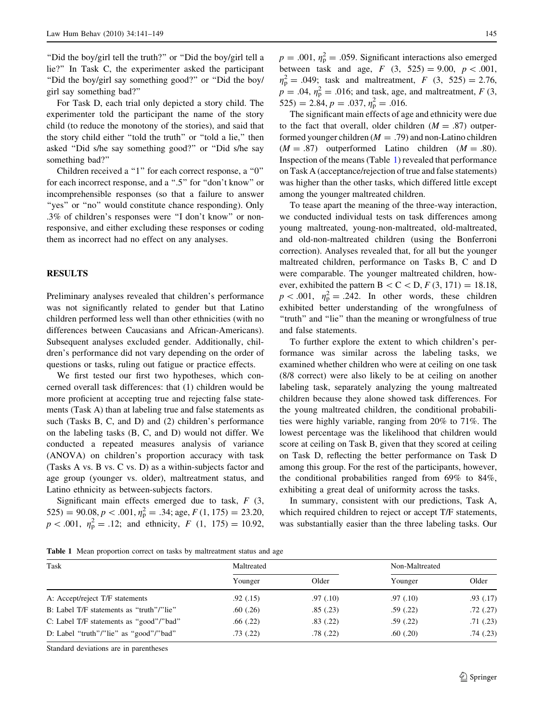''Did the boy/girl tell the truth?'' or ''Did the boy/girl tell a lie?'' In Task C, the experimenter asked the participant ''Did the boy/girl say something good?'' or ''Did the boy/ girl say something bad?''

For Task D, each trial only depicted a story child. The experimenter told the participant the name of the story child (to reduce the monotony of the stories), and said that the story child either ''told the truth'' or ''told a lie,'' then asked ''Did s/he say something good?'' or ''Did s/he say something bad?''

Children received a ''1'' for each correct response, a ''0'' for each incorrect response, and a ".5" for "don't know" or incomprehensible responses (so that a failure to answer "yes" or "no" would constitute chance responding). Only .3% of children's responses were ''I don't know'' or nonresponsive, and either excluding these responses or coding them as incorrect had no effect on any analyses.

#### RESULTS

Preliminary analyses revealed that children's performance was not significantly related to gender but that Latino children performed less well than other ethnicities (with no differences between Caucasians and African-Americans). Subsequent analyses excluded gender. Additionally, children's performance did not vary depending on the order of questions or tasks, ruling out fatigue or practice effects.

We first tested our first two hypotheses, which concerned overall task differences: that (1) children would be more proficient at accepting true and rejecting false statements (Task A) than at labeling true and false statements as such (Tasks B, C, and D) and (2) children's performance on the labeling tasks (B, C, and D) would not differ. We conducted a repeated measures analysis of variance (ANOVA) on children's proportion accuracy with task (Tasks A vs. B vs. C vs. D) as a within-subjects factor and age group (younger vs. older), maltreatment status, and Latino ethnicity as between-subjects factors.

Significant main effects emerged due to task,  $F(3, 1)$ 525) = 90.08,  $p < .001$ ,  $\eta_p^2 = .34$ ; age,  $F (1, 175) = 23.20$ ,  $p < .001$ ,  $\eta_{\rm p}^2 = .12$ ; and ethnicity, F (1, 175) = 10.92,

 $p = .001$ ,  $\eta_{\rm p}^2 = .059$ . Significant interactions also emerged between task and age,  $F(3, 525) = 9.00, p < .001$ ,  $\eta_{\rm p}^2 = .049$ ; task and maltreatment, F (3, 525) = 2.76,  $p = .04$ ,  $\eta_{\rm p}^2 = .016$ ; and task, age, and maltreatment, F (3,  $525$ ) = 2.84, p = .037,  $\eta_{\rm p}^2$  = .016.

The significant main effects of age and ethnicity were due to the fact that overall, older children  $(M = .87)$  outperformed younger children  $(M = .79)$  and non-Latino children  $(M = .87)$  outperformed Latino children  $(M = .80)$ . Inspection of the means (Table 1) revealed that performance on Task A (acceptance/rejection of true and false statements) was higher than the other tasks, which differed little except among the younger maltreated children.

To tease apart the meaning of the three-way interaction, we conducted individual tests on task differences among young maltreated, young-non-maltreated, old-maltreated, and old-non-maltreated children (using the Bonferroni correction). Analyses revealed that, for all but the younger maltreated children, performance on Tasks B, C and D were comparable. The younger maltreated children, however, exhibited the pattern B  $\lt C \lt D$ ,  $F (3, 171) = 18.18$ ,  $p < .001$ ,  $\eta_{\rm p}^2 = .242$ . In other words, these children exhibited better understanding of the wrongfulness of ''truth'' and ''lie'' than the meaning or wrongfulness of true and false statements.

To further explore the extent to which children's performance was similar across the labeling tasks, we examined whether children who were at ceiling on one task (8/8 correct) were also likely to be at ceiling on another labeling task, separately analyzing the young maltreated children because they alone showed task differences. For the young maltreated children, the conditional probabilities were highly variable, ranging from 20% to 71%. The lowest percentage was the likelihood that children would score at ceiling on Task B, given that they scored at ceiling on Task D, reflecting the better performance on Task D among this group. For the rest of the participants, however, the conditional probabilities ranged from 69% to 84%, exhibiting a great deal of uniformity across the tasks.

In summary, consistent with our predictions, Task A, which required children to reject or accept T/F statements, was substantially easier than the three labeling tasks. Our

Table 1 Mean proportion correct on tasks by maltreatment status and age

| Task                                     | Maltreated |           | Non-Maltreated |          |
|------------------------------------------|------------|-----------|----------------|----------|
|                                          | Younger    | Older     | Younger        | Older    |
| A: Accept/reject T/F statements          | .92(0.15)  | .97(0.10) | .97(0.10)      | .93(.17) |
| B: Label T/F statements as "truth"/"lie" | .60(.26)   | .85(.23)  | .59(.22)       | .72(.27) |
| C: Label T/F statements as "good"/"bad"  | .66(.22)   | .83(.22)  | .59(.22)       | .71(.23) |
| D: Label "truth"/"lie" as "good"/"bad"   | .73(.22)   | .78(.22)  | .60(.20)       | .74(.23) |

Standard deviations are in parentheses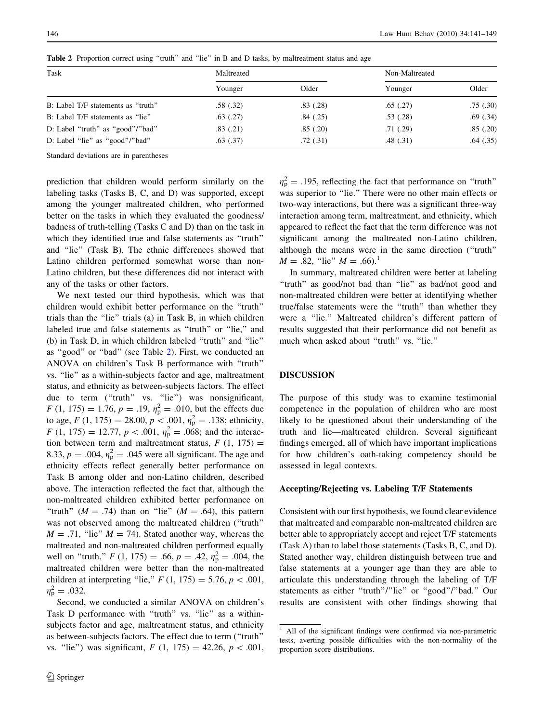| Task                               | Maltreated |          | Non-Maltreated |           |
|------------------------------------|------------|----------|----------------|-----------|
|                                    | Younger    | Older    | Younger        | Older     |
| B: Label T/F statements as "truth" | .58(.32)   | .83(.28) | .65(.27)       | .75(.30)  |
| B: Label T/F statements as "lie"   | .63(.27)   | .84(.25) | .53(.28)       | .69(.34)  |
| D: Label "truth" as "good"/"bad"   | .83(.21)   | .85(.20) | .71(0.29)      | .85(.20)  |
| D: Label "lie" as "good"/"bad"     | .63(.37)   | .72(.31) | .48(.31)       | .64(0.35) |

Table 2 Proportion correct using "truth" and "lie" in B and D tasks, by maltreatment status and age

Standard deviations are in parentheses

prediction that children would perform similarly on the labeling tasks (Tasks B, C, and D) was supported, except among the younger maltreated children, who performed better on the tasks in which they evaluated the goodness/ badness of truth-telling (Tasks C and D) than on the task in which they identified true and false statements as "truth" and ''lie'' (Task B). The ethnic differences showed that Latino children performed somewhat worse than non-Latino children, but these differences did not interact with any of the tasks or other factors.

We next tested our third hypothesis, which was that children would exhibit better performance on the ''truth'' trials than the "lie" trials (a) in Task B, in which children labeled true and false statements as "truth" or "lie," and (b) in Task D, in which children labeled ''truth'' and ''lie'' as ''good'' or ''bad'' (see Table 2). First, we conducted an ANOVA on children's Task B performance with ''truth'' vs. ''lie'' as a within-subjects factor and age, maltreatment status, and ethnicity as between-subjects factors. The effect due to term ("truth" vs. "lie") was nonsignificant,  $F(1, 175) = 1.76, p = .19, \eta_{\rm p}^2 = .010$ , but the effects due to age,  $F(1, 175) = 28.00, p < .001, \eta_{p}^{2} = .138$ ; ethnicity,  $F(1, 175) = 12.77, p < .001, \eta_{\rm p}^2 = .068$ ; and the interaction between term and maltreatment status,  $F(1, 175) =$ 8.33,  $p = .004$ ,  $\eta_{\rm p}^2 = .045$  were all significant. The age and ethnicity effects reflect generally better performance on Task B among older and non-Latino children, described above. The interaction reflected the fact that, although the non-maltreated children exhibited better performance on "truth" ( $M = .74$ ) than on "lie" ( $M = .64$ ), this pattern was not observed among the maltreated children ("truth"  $M = .71$ , "lie"  $M = 74$ ). Stated another way, whereas the maltreated and non-maltreated children performed equally well on "truth,"  $F(1, 175) = .66$ ,  $p = .42$ ,  $\eta_{p}^{2} = .004$ , the maltreated children were better than the non-maltreated children at interpreting "lie,"  $F(1, 175) = 5.76, p < .001$ ,  $\eta_{\rm p}^2 = .032$ .

Second, we conducted a similar ANOVA on children's Task D performance with "truth" vs. "lie" as a withinsubjects factor and age, maltreatment status, and ethnicity as between-subjects factors. The effect due to term (''truth'' vs. "lie") was significant,  $F(1, 175) = 42.26, p < .001$ ,

 $\eta_{\rm p}^2$  = .195, reflecting the fact that performance on "truth" was superior to "lie." There were no other main effects or two-way interactions, but there was a significant three-way interaction among term, maltreatment, and ethnicity, which appeared to reflect the fact that the term difference was not significant among the maltreated non-Latino children, although the means were in the same direction (''truth''  $M = .82$ , "lie"  $M = .66$ ).<sup>1</sup>

In summary, maltreated children were better at labeling "truth" as good/not bad than "lie" as bad/not good and non-maltreated children were better at identifying whether true/false statements were the ''truth'' than whether they were a ''lie.'' Maltreated children's different pattern of results suggested that their performance did not benefit as much when asked about "truth" vs. "lie."

#### DISCUSSION

The purpose of this study was to examine testimonial competence in the population of children who are most likely to be questioned about their understanding of the truth and lie—maltreated children. Several significant findings emerged, all of which have important implications for how children's oath-taking competency should be assessed in legal contexts.

#### Accepting/Rejecting vs. Labeling T/F Statements

Consistent with our first hypothesis, we found clear evidence that maltreated and comparable non-maltreated children are better able to appropriately accept and reject T/F statements (Task A) than to label those statements (Tasks B, C, and D). Stated another way, children distinguish between true and false statements at a younger age than they are able to articulate this understanding through the labeling of T/F statements as either "truth"/"lie" or "good"/"bad." Our results are consistent with other findings showing that

<sup>&</sup>lt;sup>1</sup> All of the significant findings were confirmed via non-parametric tests, averting possible difficulties with the non-normality of the proportion score distributions.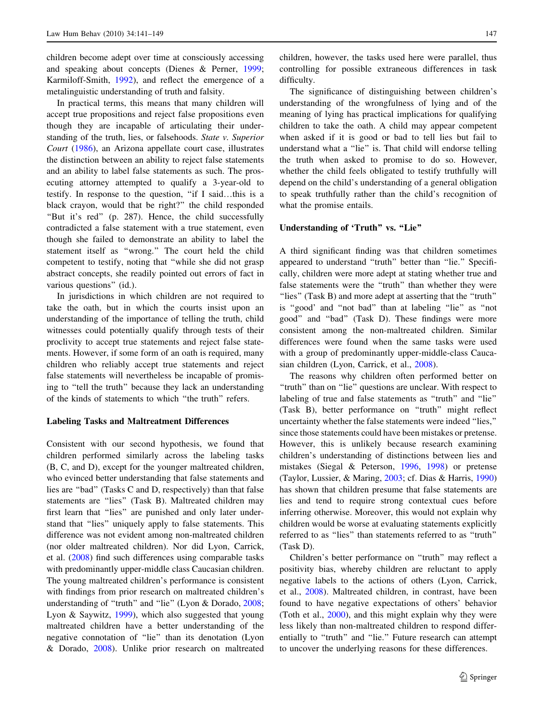children become adept over time at consciously accessing and speaking about concepts (Dienes & Perner, [1999](#page-8-0); Karmiloff-Smith, [1992\)](#page-9-0), and reflect the emergence of a metalinguistic understanding of truth and falsity.

In practical terms, this means that many children will accept true propositions and reject false propositions even though they are incapable of articulating their understanding of the truth, lies, or falsehoods. State v. Superior Court ([1986\)](#page-9-0), an Arizona appellate court case, illustrates the distinction between an ability to reject false statements and an ability to label false statements as such. The prosecuting attorney attempted to qualify a 3-year-old to testify. In response to the question, ''if I said…this is a black crayon, would that be right?'' the child responded "But it's red" (p. 287). Hence, the child successfully contradicted a false statement with a true statement, even though she failed to demonstrate an ability to label the statement itself as ''wrong.'' The court held the child competent to testify, noting that ''while she did not grasp abstract concepts, she readily pointed out errors of fact in various questions'' (id.).

In jurisdictions in which children are not required to take the oath, but in which the courts insist upon an understanding of the importance of telling the truth, child witnesses could potentially qualify through tests of their proclivity to accept true statements and reject false statements. However, if some form of an oath is required, many children who reliably accept true statements and reject false statements will nevertheless be incapable of promising to ''tell the truth'' because they lack an understanding of the kinds of statements to which ''the truth'' refers.

#### Labeling Tasks and Maltreatment Differences

Consistent with our second hypothesis, we found that children performed similarly across the labeling tasks (B, C, and D), except for the younger maltreated children, who evinced better understanding that false statements and lies are ''bad'' (Tasks C and D, respectively) than that false statements are "lies" (Task B). Maltreated children may first learn that ''lies'' are punished and only later understand that ''lies'' uniquely apply to false statements. This difference was not evident among non-maltreated children (nor older maltreated children). Nor did Lyon, Carrick, et al. [\(2008](#page-9-0)) find such differences using comparable tasks with predominantly upper-middle class Caucasian children. The young maltreated children's performance is consistent with findings from prior research on maltreated children's understanding of "truth" and "lie" (Lyon & Dorado, [2008](#page-9-0); Lyon & Saywitz, [1999](#page-9-0)), which also suggested that young maltreated children have a better understanding of the negative connotation of ''lie'' than its denotation (Lyon & Dorado, [2008\)](#page-9-0). Unlike prior research on maltreated children, however, the tasks used here were parallel, thus controlling for possible extraneous differences in task difficulty.

The significance of distinguishing between children's understanding of the wrongfulness of lying and of the meaning of lying has practical implications for qualifying children to take the oath. A child may appear competent when asked if it is good or bad to tell lies but fail to understand what a ''lie'' is. That child will endorse telling the truth when asked to promise to do so. However, whether the child feels obligated to testify truthfully will depend on the child's understanding of a general obligation to speak truthfully rather than the child's recognition of what the promise entails.

#### Understanding of 'Truth" vs. "Lie"

A third significant finding was that children sometimes appeared to understand ''truth'' better than ''lie.'' Specifically, children were more adept at stating whether true and false statements were the "truth" than whether they were ''lies'' (Task B) and more adept at asserting that the ''truth'' is ''good' and ''not bad'' than at labeling ''lie'' as ''not good'' and ''bad'' (Task D). These findings were more consistent among the non-maltreated children. Similar differences were found when the same tasks were used with a group of predominantly upper-middle-class Caucasian children (Lyon, Carrick, et al., [2008](#page-9-0)).

The reasons why children often performed better on ''truth'' than on ''lie'' questions are unclear. With respect to labeling of true and false statements as "truth" and "lie" (Task B), better performance on ''truth'' might reflect uncertainty whether the false statements were indeed ''lies,'' since those statements could have been mistakes or pretense. However, this is unlikely because research examining children's understanding of distinctions between lies and mistakes (Siegal & Peterson, [1996,](#page-9-0) [1998](#page-9-0)) or pretense (Taylor, Lussier, & Maring, [2003;](#page-9-0) cf. Dias & Harris, [1990\)](#page-8-0) has shown that children presume that false statements are lies and tend to require strong contextual cues before inferring otherwise. Moreover, this would not explain why children would be worse at evaluating statements explicitly referred to as ''lies'' than statements referred to as ''truth'' (Task D).

Children's better performance on ''truth'' may reflect a positivity bias, whereby children are reluctant to apply negative labels to the actions of others (Lyon, Carrick, et al., [2008](#page-9-0)). Maltreated children, in contrast, have been found to have negative expectations of others' behavior (Toth et al., [2000](#page-9-0)), and this might explain why they were less likely than non-maltreated children to respond differentially to "truth" and "lie." Future research can attempt to uncover the underlying reasons for these differences.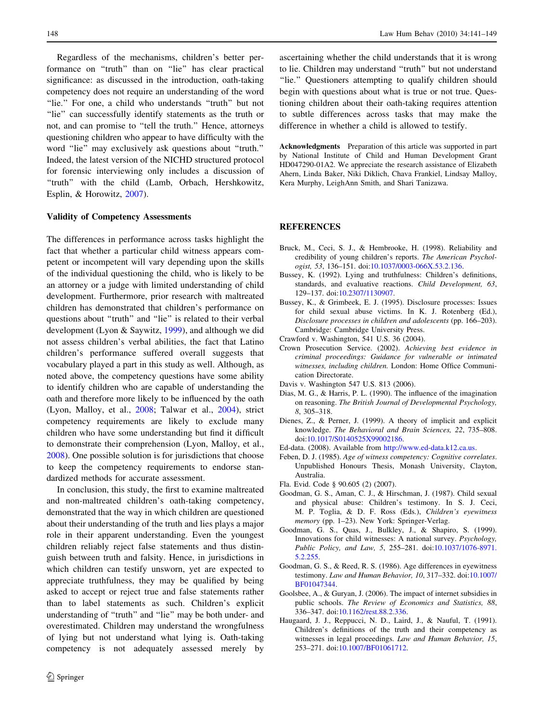<span id="page-8-0"></span>Regardless of the mechanisms, children's better performance on ''truth'' than on ''lie'' has clear practical significance: as discussed in the introduction, oath-taking competency does not require an understanding of the word "lie." For one, a child who understands "truth" but not "lie" can successfully identify statements as the truth or not, and can promise to ''tell the truth.'' Hence, attorneys questioning children who appear to have difficulty with the word "lie" may exclusively ask questions about "truth." Indeed, the latest version of the NICHD structured protocol for forensic interviewing only includes a discussion of "truth" with the child (Lamb, Orbach, Hershkowitz, Esplin, & Horowitz, [2007](#page-9-0)).

#### Validity of Competency Assessments

The differences in performance across tasks highlight the fact that whether a particular child witness appears competent or incompetent will vary depending upon the skills of the individual questioning the child, who is likely to be an attorney or a judge with limited understanding of child development. Furthermore, prior research with maltreated children has demonstrated that children's performance on questions about ''truth'' and ''lie'' is related to their verbal development (Lyon & Saywitz, [1999\)](#page-9-0), and although we did not assess children's verbal abilities, the fact that Latino children's performance suffered overall suggests that vocabulary played a part in this study as well. Although, as noted above, the competency questions have some ability to identify children who are capable of understanding the oath and therefore more likely to be influenced by the oath (Lyon, Malloy, et al., [2008](#page-9-0); Talwar et al., [2004](#page-9-0)), strict competency requirements are likely to exclude many children who have some understanding but find it difficult to demonstrate their comprehension (Lyon, Malloy, et al., [2008\)](#page-9-0). One possible solution is for jurisdictions that choose to keep the competency requirements to endorse standardized methods for accurate assessment.

In conclusion, this study, the first to examine maltreated and non-maltreated children's oath-taking competency, demonstrated that the way in which children are questioned about their understanding of the truth and lies plays a major role in their apparent understanding. Even the youngest children reliably reject false statements and thus distinguish between truth and falsity. Hence, in jurisdictions in which children can testify unsworn, yet are expected to appreciate truthfulness, they may be qualified by being asked to accept or reject true and false statements rather than to label statements as such. Children's explicit understanding of ''truth'' and ''lie'' may be both under- and overestimated. Children may understand the wrongfulness of lying but not understand what lying is. Oath-taking competency is not adequately assessed merely by

ascertaining whether the child understands that it is wrong to lie. Children may understand ''truth'' but not understand "lie." Questioners attempting to qualify children should begin with questions about what is true or not true. Questioning children about their oath-taking requires attention to subtle differences across tasks that may make the difference in whether a child is allowed to testify.

Acknowledgments Preparation of this article was supported in part by National Institute of Child and Human Development Grant HD047290-01A2. We appreciate the research assistance of Elizabeth Ahern, Linda Baker, Niki Diklich, Chava Frankiel, Lindsay Malloy, Kera Murphy, LeighAnn Smith, and Shari Tanizawa.

#### REFERENCES

- Bruck, M., Ceci, S. J., & Hembrooke, H. (1998). Reliability and credibility of young children's reports. The American Psychologist, 53, 136–151. doi:[10.1037/0003-066X.53.2.136](http://dx.doi.org/10.1037/0003-066X.53.2.136).
- Bussey, K. (1992). Lying and truthfulness: Children's definitions, standards, and evaluative reactions. Child Development, 63, 129–137. doi:[10.2307/1130907.](http://dx.doi.org/10.2307/1130907)
- Bussey, K., & Grimbeek, E. J. (1995). Disclosure processes: Issues for child sexual abuse victims. In K. J. Rotenberg (Ed.), Disclosure processes in children and adolescents (pp. 166–203). Cambridge: Cambridge University Press.
- Crawford v. Washington, 541 U.S. 36 (2004).
- Crown Prosecution Service. (2002). Achieving best evidence in criminal proceedings: Guidance for vulnerable or intimated witnesses, including children. London: Home Office Communication Directorate.
- Davis v. Washington 547 U.S. 813 (2006).
- Dias, M. G., & Harris, P. L. (1990). The influence of the imagination on reasoning. The British Journal of Developmental Psychology, 8, 305–318.
- Dienes, Z., & Perner, J. (1999). A theory of implicit and explicit knowledge. The Behavioral and Brain Sciences, 22, 735–808. doi[:10.1017/S0140525X99002186.](http://dx.doi.org/10.1017/S0140525X99002186)
- Ed-data. (2008). Available from <http://www.ed-data.k12.ca.us>.
- Feben, D. J. (1985). Age of witness competency: Cognitive correlates. Unpublished Honours Thesis, Monash University, Clayton, Australia.
- Fla. Evid. Code § 90.605 (2) (2007).
- Goodman, G. S., Aman, C. J., & Hirschman, J. (1987). Child sexual and physical abuse: Children's testimony. In S. J. Ceci, M. P. Toglia, & D. F. Ross (Eds.), Children's eyewitness memory (pp. 1-23). New York: Springer-Verlag.
- Goodman, G. S., Quas, J., Bulkley, J., & Shapiro, S. (1999). Innovations for child witnesses: A national survey. Psychology, Public Policy, and Law, 5, 255–281. doi:[10.1037/1076-8971.](http://dx.doi.org/10.1037/1076-8971.5.2.255) [5.2.255.](http://dx.doi.org/10.1037/1076-8971.5.2.255)
- Goodman, G. S., & Reed, R. S. (1986). Age differences in eyewitness testimony. Law and Human Behavior, 10, 317–332. doi[:10.1007/](http://dx.doi.org/10.1007/BF01047344) [BF01047344](http://dx.doi.org/10.1007/BF01047344).
- Goolsbee, A., & Guryan, J. (2006). The impact of internet subsidies in public schools. The Review of Economics and Statistics, 88, 336–347. doi:[10.1162/rest.88.2.336.](http://dx.doi.org/10.1162/rest.88.2.336)
- Haugaard, J. J., Reppucci, N. D., Laird, J., & Nauful, T. (1991). Children's definitions of the truth and their competency as witnesses in legal proceedings. Law and Human Behavior, 15, 253–271. doi:[10.1007/BF01061712](http://dx.doi.org/10.1007/BF01061712).